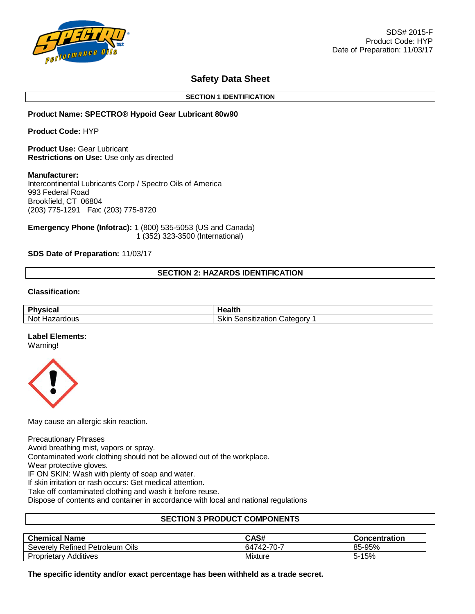

# **Safety Data Sheet**

### **SECTION 1 IDENTIFICATION**

## **Product Name: SPECTRO® Hypoid Gear Lubricant 80w90**

**Product Code:** HYP

**Product Use:** Gear Lubricant **Restrictions on Use:** Use only as directed

### **Manufacturer:**

Intercontinental Lubricants Corp / Spectro Oils of America 993 Federal Road Brookfield, CT 06804 (203) 775-1291 Fax: (203) 775-8720

**Emergency Phone (Infotrac):** 1 (800) 535-5053 (US and Canada) 1 (352) 323-3500 (International)

## **SDS Date of Preparation:** 11/03/17

# **SECTION 2: HAZARDS IDENTIFICATION**

## **Classification:**

| <b>DL</b><br>'hvsical | Health.                           |
|-----------------------|-----------------------------------|
| Not<br>Hazardous      | Skin<br>Category<br>Sensitization |

## **Label Elements:**

Warning!



May cause an allergic skin reaction.

Precautionary Phrases

Avoid breathing mist, vapors or spray.

Contaminated work clothing should not be allowed out of the workplace.

Wear protective gloves.

IF ON SKIN: Wash with plenty of soap and water.

If skin irritation or rash occurs: Get medical attention.

Take off contaminated clothing and wash it before reuse.

Dispose of contents and container in accordance with local and national regulations

# **SECTION 3 PRODUCT COMPONENTS**

| <b>Chemical Name</b>               | CAS#       | <b>Concentration</b> |
|------------------------------------|------------|----------------------|
| Severely Refined Petroleum<br>Oils | 64742-70-7 | 85-95%               |
| <b>Proprietary Additives</b>       | Mixture    | $5 - 15%$            |

**The specific identity and/or exact percentage has been withheld as a trade secret.**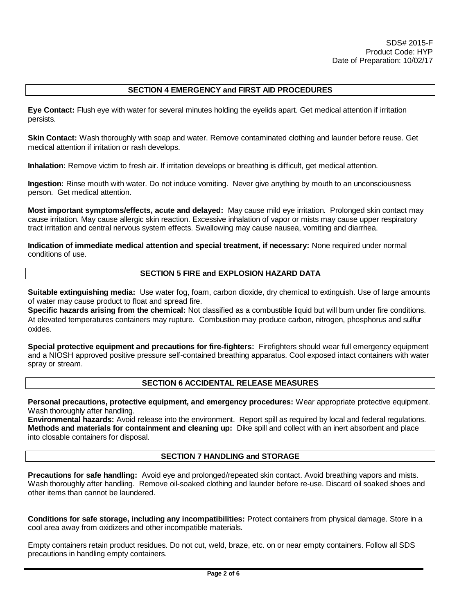# **SECTION 4 EMERGENCY and FIRST AID PROCEDURES**

**Eye Contact:** Flush eye with water for several minutes holding the eyelids apart. Get medical attention if irritation persists.

**Skin Contact:** Wash thoroughly with soap and water. Remove contaminated clothing and launder before reuse. Get medical attention if irritation or rash develops.

**Inhalation:** Remove victim to fresh air. If irritation develops or breathing is difficult, get medical attention.

**Ingestion:** Rinse mouth with water. Do not induce vomiting. Never give anything by mouth to an unconsciousness person. Get medical attention.

**Most important symptoms/effects, acute and delayed:** May cause mild eye irritation. Prolonged skin contact may cause irritation. May cause allergic skin reaction. Excessive inhalation of vapor or mists may cause upper respiratory tract irritation and central nervous system effects. Swallowing may cause nausea, vomiting and diarrhea.

**Indication of immediate medical attention and special treatment, if necessary:** None required under normal conditions of use.

## **SECTION 5 FIRE and EXPLOSION HAZARD DATA**

**Suitable extinguishing media:** Use water fog, foam, carbon dioxide, dry chemical to extinguish. Use of large amounts of water may cause product to float and spread fire.

**Specific hazards arising from the chemical:** Not classified as a combustible liquid but will burn under fire conditions. At elevated temperatures containers may rupture. Combustion may produce carbon, nitrogen, phosphorus and sulfur oxides.

**Special protective equipment and precautions for fire-fighters:** Firefighters should wear full emergency equipment and a NIOSH approved positive pressure self-contained breathing apparatus. Cool exposed intact containers with water spray or stream.

## **SECTION 6 ACCIDENTAL RELEASE MEASURES**

**Personal precautions, protective equipment, and emergency procedures:** Wear appropriate protective equipment. Wash thoroughly after handling.

**Environmental hazards:** Avoid release into the environment. Report spill as required by local and federal regulations. **Methods and materials for containment and cleaning up:** Dike spill and collect with an inert absorbent and place into closable containers for disposal.

# **SECTION 7 HANDLING and STORAGE**

**Precautions for safe handling:** Avoid eye and prolonged/repeated skin contact. Avoid breathing vapors and mists. Wash thoroughly after handling. Remove oil-soaked clothing and launder before re-use. Discard oil soaked shoes and other items than cannot be laundered.

**Conditions for safe storage, including any incompatibilities:** Protect containers from physical damage. Store in a cool area away from oxidizers and other incompatible materials.

Empty containers retain product residues. Do not cut, weld, braze, etc. on or near empty containers. Follow all SDS precautions in handling empty containers.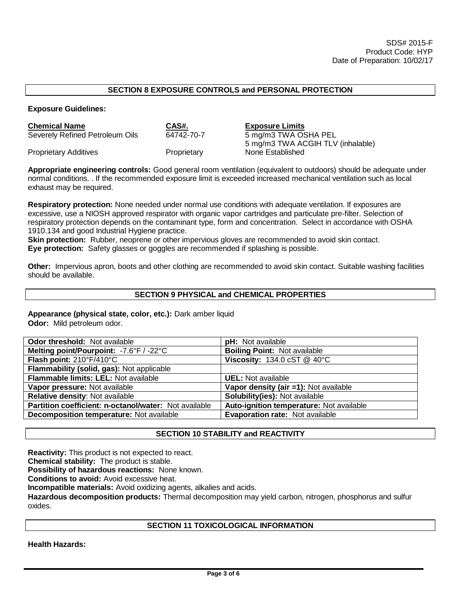# **SECTION 8 EXPOSURE CONTROLS and PERSONAL PROTECTION**

**Exposure Guidelines:**

| <b>Chemical Name</b>            | CAS#.       | <b>Exposure Limits</b>            |
|---------------------------------|-------------|-----------------------------------|
| Severely Refined Petroleum Oils | 64742-70-7  | 5 mg/m3 TWA OSHA PEL              |
|                                 |             | 5 mg/m3 TWA ACGIH TLV (inhalable) |
| <b>Proprietary Additives</b>    | Proprietary | None Established                  |

**Appropriate engineering controls:** Good general room ventilation (equivalent to outdoors) should be adequate under normal conditions. . If the recommended exposure limit is exceeded increased mechanical ventilation such as local exhaust may be required.

**Respiratory protection:** None needed under normal use conditions with adequate ventilation. If exposures are excessive, use a NIOSH approved respirator with organic vapor cartridges and particulate pre-filter. Selection of respiratory protection depends on the contaminant type, form and concentration. Select in accordance with OSHA 1910.134 and good Industrial Hygiene practice.

**Skin protection:** Rubber, neoprene or other impervious gloves are recommended to avoid skin contact. **Eye protection:** Safety glasses or goggles are recommended if splashing is possible.

**Other:** Impervious apron, boots and other clothing are recommended to avoid skin contact. Suitable washing facilities should be available.

### **SECTION 9 PHYSICAL and CHEMICAL PROPERTIES**

**Appearance (physical state, color, etc.):** Dark amber liquid

**Odor:** Mild petroleum odor.

| <b>Odor threshold: Not available</b>                         | <b>pH:</b> Not available                               |
|--------------------------------------------------------------|--------------------------------------------------------|
| Melting point/Pourpoint: -7.6°F / -22°C                      | <b>Boiling Point: Not available</b>                    |
| Flash point: 210°F/410°C                                     | Viscosity: $134.0 \text{ cST} \ @ 40^{\circ} \text{C}$ |
| Flammability (solid, gas): Not applicable                    |                                                        |
| Flammable limits: LEL: Not available                         | <b>UEL:</b> Not available                              |
| Vapor pressure: Not available                                | Vapor density (air =1): Not available                  |
| Relative density: Not available                              | <b>Solubility(ies): Not available</b>                  |
| <b>Partition coefficient: n-octanol/water:</b> Not available | Auto-ignition temperature: Not available               |
| Decomposition temperature: Not available                     | <b>Evaporation rate: Not available</b>                 |
|                                                              |                                                        |

## **SECTION 10 STABILITY and REACTIVITY**

**Reactivity:** This product is not expected to react.

**Chemical stability:** The product is stable.

**Possibility of hazardous reactions:** None known.

**Conditions to avoid:** Avoid excessive heat.

**Incompatible materials:** Avoid oxidizing agents, alkalies and acids.

**Hazardous decomposition products:** Thermal decomposition may yield carbon, nitrogen, phosphorus and sulfur oxides.

## **SECTION 11 TOXICOLOGICAL INFORMATION**

**Health Hazards:**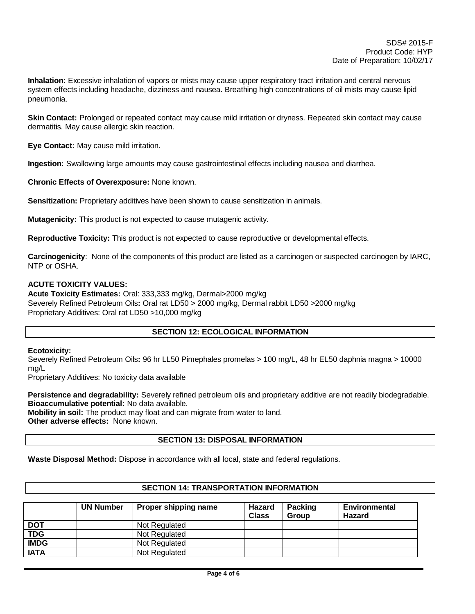**Inhalation:** Excessive inhalation of vapors or mists may cause upper respiratory tract irritation and central nervous system effects including headache, dizziness and nausea. Breathing high concentrations of oil mists may cause lipid pneumonia.

**Skin Contact:** Prolonged or repeated contact may cause mild irritation or dryness. Repeated skin contact may cause dermatitis. May cause allergic skin reaction.

**Eye Contact:** May cause mild irritation.

**Ingestion:** Swallowing large amounts may cause gastrointestinal effects including nausea and diarrhea.

**Chronic Effects of Overexposure:** None known.

**Sensitization:** Proprietary additives have been shown to cause sensitization in animals.

**Mutagenicity:** This product is not expected to cause mutagenic activity.

**Reproductive Toxicity:** This product is not expected to cause reproductive or developmental effects.

**Carcinogenicity**: None of the components of this product are listed as a carcinogen or suspected carcinogen by IARC, NTP or OSHA.

### **ACUTE TOXICITY VALUES:**

**Acute Toxicity Estimates:** Oral: 333,333 mg/kg, Dermal>2000 mg/kg Severely Refined Petroleum Oils**:** Oral rat LD50 > 2000 mg/kg, Dermal rabbit LD50 >2000 mg/kg Proprietary Additives: Oral rat LD50 >10,000 mg/kg

## **SECTION 12: ECOLOGICAL INFORMATION**

#### **Ecotoxicity:**

Severely Refined Petroleum Oils**:** 96 hr LL50 Pimephales promelas > 100 mg/L, 48 hr EL50 daphnia magna > 10000 mg/L

Proprietary Additives: No toxicity data available

**Persistence and degradability:** Severely refined petroleum oils and proprietary additive are not readily biodegradable. **Bioaccumulative potential:** No data available.

**Mobility in soil:** The product may float and can migrate from water to land. **Other adverse effects:** None known.

# **SECTION 13: DISPOSAL INFORMATION**

**Waste Disposal Method:** Dispose in accordance with all local, state and federal regulations.

## **SECTION 14: TRANSPORTATION INFORMATION**

|             | <b>UN Number</b> | Proper shipping name | <b>Hazard</b><br><b>Class</b> | <b>Packing</b><br>Group | Environmental<br><b>Hazard</b> |
|-------------|------------------|----------------------|-------------------------------|-------------------------|--------------------------------|
| <b>DOT</b>  |                  | Not Regulated        |                               |                         |                                |
| <b>TDG</b>  |                  | Not Regulated        |                               |                         |                                |
| <b>IMDG</b> |                  | Not Regulated        |                               |                         |                                |
| <b>IATA</b> |                  | Not Regulated        |                               |                         |                                |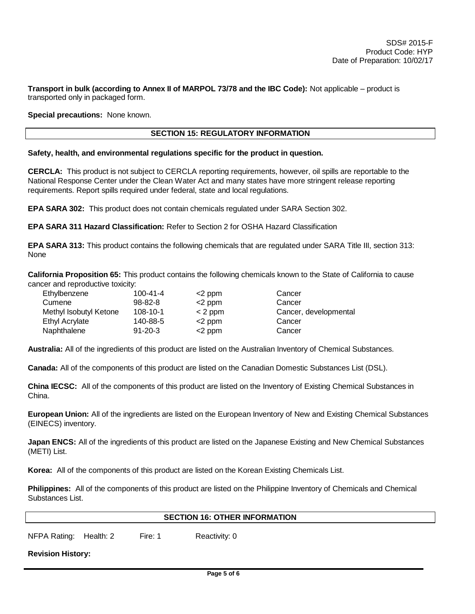**Transport in bulk (according to Annex II of MARPOL 73/78 and the IBC Code):** Not applicable – product is transported only in packaged form.

**Special precautions:** None known.

## **SECTION 15: REGULATORY INFORMATION**

### **Safety, health, and environmental regulations specific for the product in question.**

**CERCLA:** This product is not subject to CERCLA reporting requirements, however, oil spills are reportable to the National Response Center under the Clean Water Act and many states have more stringent release reporting requirements. Report spills required under federal, state and local regulations.

**EPA SARA 302:** This product does not contain chemicals regulated under SARA Section 302.

**EPA SARA 311 Hazard Classification:** Refer to Section 2 for OSHA Hazard Classification

**EPA SARA 313:** This product contains the following chemicals that are regulated under SARA Title III, section 313: None

**California Proposition 65:** This product contains the following chemicals known to the State of California to cause cancer and reproductive toxicity:

| $100 - 41 - 4$ | $<$ 2 ppm | Cancer                |
|----------------|-----------|-----------------------|
| $98 - 82 - 8$  | $<$ 2 ppm | Cancer                |
| $108 - 10 - 1$ | $<$ 2 ppm | Cancer, developmental |
| 140-88-5       | $<$ 2 ppm | Cancer                |
| $91 - 20 - 3$  | $<$ 2 ppm | Cancer                |
|                |           |                       |

**Australia:** All of the ingredients of this product are listed on the Australian Inventory of Chemical Substances.

**Canada:** All of the components of this product are listed on the Canadian Domestic Substances List (DSL).

**China IECSC:** All of the components of this product are listed on the Inventory of Existing Chemical Substances in China.

**European Union:** All of the ingredients are listed on the European Inventory of New and Existing Chemical Substances (EINECS) inventory.

**Japan ENCS:** All of the ingredients of this product are listed on the Japanese Existing and New Chemical Substances (METI) List.

**Korea:** All of the components of this product are listed on the Korean Existing Chemicals List.

|                  | Philippines: All of the components of this product are listed on the Philippine Inventory of Chemicals and Chemical |  |  |  |
|------------------|---------------------------------------------------------------------------------------------------------------------|--|--|--|
| Substances List. |                                                                                                                     |  |  |  |

#### **SECTION 16: OTHER INFORMATION**

NFPA Rating: Health: 2 Fire: 1 Reactivity: 0

**Revision History:**